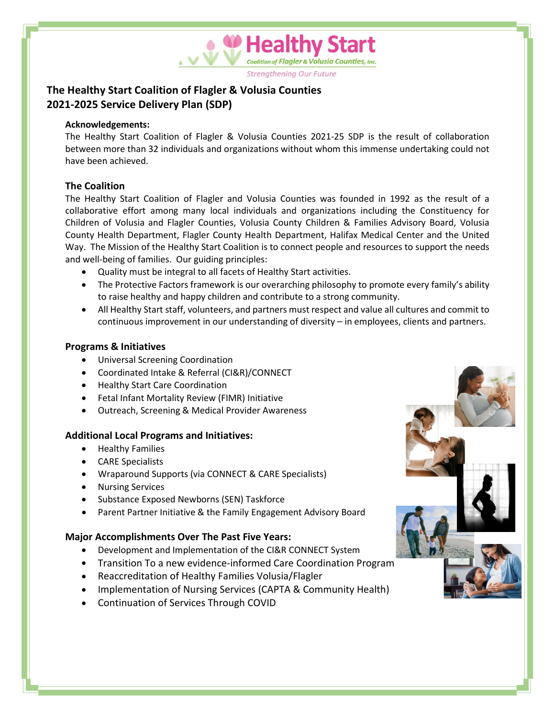**Strengthening Our Future** 

**Healthy Start** 

valition of Flagler & Volusia Counties, Inc.

# **The Healthy Start Coalition of Flagler & Volusia Counties 2021-2025 Service Delivery Plan (SDP)**

#### **Acknowledgements:**

The Healthy Start Coalition of Flagler & Volusia Counties 2021-25 SDP is the result of collaboration between more than 32 individuals and organizations without whom this immense undertaking could not have been achieved.

## **The Coalition**

The Healthy Start Coalition of Flagler and Volusia Counties was founded in 1992 as the result of a collaborative effort among many local individuals and organizations including the Constituency for Children of Volusia and Flagler Counties, Volusia County Children & Families Advisory Board, Volusia County Health Department, Flagler County Health Department, Halifax Medical Center and the United Way. The Mission of the Healthy Start Coalition is to connect people and resources to support the needs and well-being of families. Our guiding principles:

- Quality must be integral to all facets of Healthy Start activities.
- The Protective Factors framework is our overarching philosophy to promote every family's ability to raise healthy and happy children and contribute to a strong community.
- All Healthy Start staff, volunteers, and partners must respect and value all cultures and commit to continuous improvement in our understanding of diversity – in employees, clients and partners.

#### **Programs & Initiatives**

- Universal Screening Coordination
- Coordinated Intake & Referral (CI&R)/CONNECT
- Healthy Start Care Coordination
- Fetal Infant Mortality Review (FIMR) Initiative
- Outreach, Screening & Medical Provider Awareness

#### **Additional Local Programs and Initiatives:**

- Healthy Families
- CARE Specialists
- Wraparound Supports (via CONNECT & CARE Specialists)
- Nursing Services
- Substance Exposed Newborns (SEN) Taskforce
- Parent Partner Initiative & the Family Engagement Advisory Board

#### **Major Accomplishments Over The Past Five Years:**

- Development and Implementation of the CI&R CONNECT System
- Transition To a new evidence-informed Care Coordination Program
- Reaccreditation of Healthy Families Volusia/Flagler
- Implementation of Nursing Services (CAPTA & Community Health)
- Continuation of Services Through COVID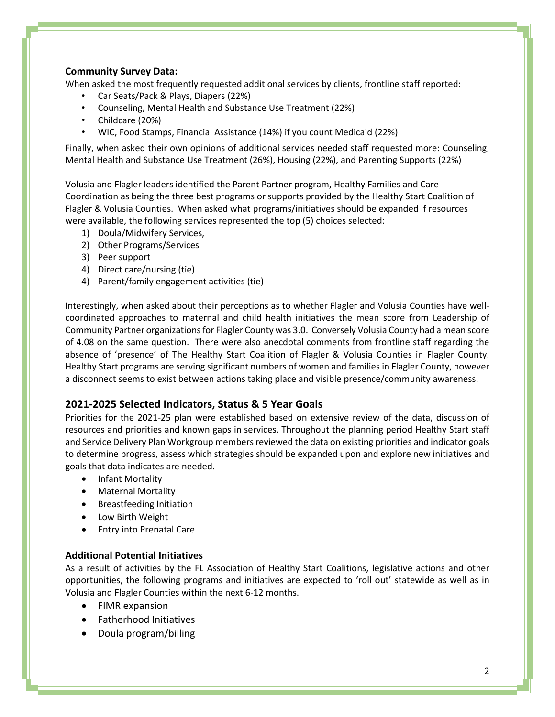#### **Community Survey Data:**

When asked the most frequently requested additional services by clients, frontline staff reported:

- Car Seats/Pack & Plays, Diapers (22%)
- Counseling, Mental Health and Substance Use Treatment (22%)
- Childcare (20%)
- WIC, Food Stamps, Financial Assistance (14%) if you count Medicaid (22%)

Finally, when asked their own opinions of additional services needed staff requested more: Counseling, Mental Health and Substance Use Treatment (26%), Housing (22%), and Parenting Supports (22%)

Volusia and Flagler leaders identified the Parent Partner program, Healthy Families and Care Coordination as being the three best programs or supports provided by the Healthy Start Coalition of Flagler & Volusia Counties. When asked what programs/initiatives should be expanded if resources were available, the following services represented the top (5) choices selected:

- 1) Doula/Midwifery Services,
- 2) Other Programs/Services
- 3) Peer support
- 4) Direct care/nursing (tie)
- 4) Parent/family engagement activities (tie)

Interestingly, when asked about their perceptions as to whether Flagler and Volusia Counties have wellcoordinated approaches to maternal and child health initiatives the mean score from Leadership of Community Partner organizations for Flagler County was 3.0. Conversely Volusia County had a mean score of 4.08 on the same question. There were also anecdotal comments from frontline staff regarding the absence of 'presence' of The Healthy Start Coalition of Flagler & Volusia Counties in Flagler County. Healthy Start programs are serving significant numbers of women and families in Flagler County, however a disconnect seems to exist between actions taking place and visible presence/community awareness.

#### **2021-2025 Selected Indicators, Status & 5 Year Goals**

Priorities for the 2021-25 plan were established based on extensive review of the data, discussion of resources and priorities and known gaps in services. Throughout the planning period Healthy Start staff and Service Delivery Plan Workgroup members reviewed the data on existing priorities and indicator goals to determine progress, assess which strategies should be expanded upon and explore new initiatives and goals that data indicates are needed.

- Infant Mortality
- Maternal Mortality
- Breastfeeding Initiation
- Low Birth Weight
- Entry into Prenatal Care

#### **Additional Potential Initiatives**

As a result of activities by the FL Association of Healthy Start Coalitions, legislative actions and other opportunities, the following programs and initiatives are expected to 'roll out' statewide as well as in Volusia and Flagler Counties within the next 6-12 months.

- FIMR expansion
- Fatherhood Initiatives
- Doula program/billing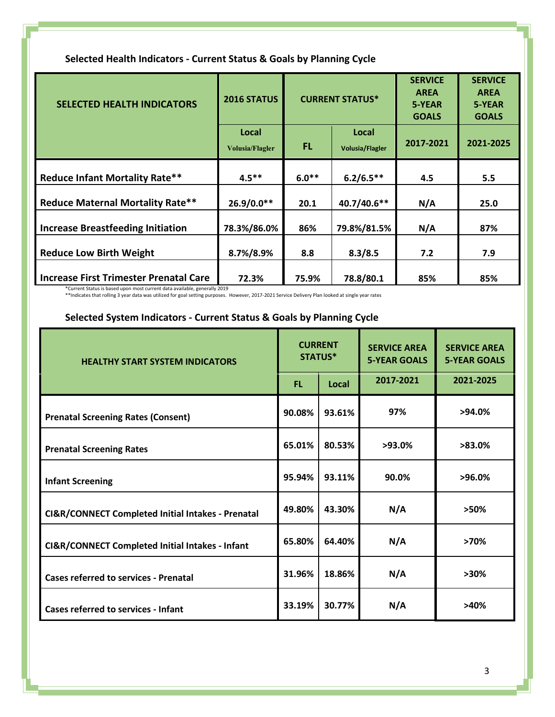| <b>SELECTED HEALTH INDICATORS</b>             | 2016 STATUS                     |         | <b>CURRENT STATUS*</b>          | <b>SERVICE</b><br><b>AREA</b><br>5-YEAR<br><b>GOALS</b> | <b>SERVICE</b><br><b>AREA</b><br>5-YEAR<br><b>GOALS</b> |
|-----------------------------------------------|---------------------------------|---------|---------------------------------|---------------------------------------------------------|---------------------------------------------------------|
|                                               | Local<br><b>Volusia/Flagler</b> | FL.     | Local<br><b>Volusia/Flagler</b> | 2017-2021                                               | 2021-2025                                               |
| <b>Reduce Infant Mortality Rate**</b>         | $4.5***$                        | $6.0**$ | $6.2/6.5**$                     | 4.5                                                     | 5.5                                                     |
| <b>Reduce Maternal Mortality Rate**</b>       | 26.9/0.0**                      | 20.1    | 40.7/40.6**                     | N/A                                                     | 25.0                                                    |
| <b>Increase Breastfeeding Initiation</b>      | 78.3%/86.0%                     | 86%     | 79.8%/81.5%                     | N/A                                                     | 87%                                                     |
| <b>Reduce Low Birth Weight</b>                | 8.7%/8.9%                       | 8.8     | 8.3/8.5                         | 7.2                                                     | 7.9                                                     |
| <b>Increase First Trimester Prenatal Care</b> | 72.3%                           | 75.9%   | 78.8/80.1                       | 85%                                                     | 85%                                                     |

## **Selected Health Indicators - Current Status & Goals by Planning Cycle**

\*Current Status is based upon most current data available, generally 2019 \*\*Indicates that rolling 3 year data was utilized for goal setting purposes. However, 2017-2021 Service Delivery Plan looked at single year rates

# **Selected System Indicators - Current Status & Goals by Planning Cycle**

| <b>HEALTHY START SYSTEM INDICATORS</b>            |        | <b>CURRENT</b><br>STATUS* | <b>SERVICE AREA</b><br><b>5-YEAR GOALS</b> | <b>SERVICE AREA</b><br><b>5-YEAR GOALS</b> |
|---------------------------------------------------|--------|---------------------------|--------------------------------------------|--------------------------------------------|
|                                                   |        | Local                     | 2017-2021                                  | 2021-2025                                  |
| <b>Prenatal Screening Rates (Consent)</b>         | 90.08% | 93.61%                    | 97%                                        | $>94.0\%$                                  |
| <b>Prenatal Screening Rates</b>                   | 65.01% | 80.53%                    | $>93.0\%$                                  | $>83.0\%$                                  |
| <b>Infant Screening</b>                           | 95.94% | 93.11%                    | 90.0%                                      | $>96.0\%$                                  |
| CI&R/CONNECT Completed Initial Intakes - Prenatal |        | 43.30%                    | N/A                                        | >50%                                       |
| CI&R/CONNECT Completed Initial Intakes - Infant   |        | 64.40%                    | N/A                                        | >70%                                       |
| <b>Cases referred to services - Prenatal</b>      |        | 18.86%                    | N/A                                        | $>30\%$                                    |
| <b>Cases referred to services - Infant</b>        |        | 30.77%                    | N/A                                        | >40%                                       |